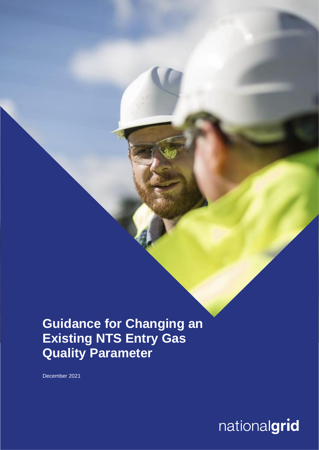## **Guidance for Changing an Existing NTS Entry Gas Quality Parameter**

December 2021

# nationalgrid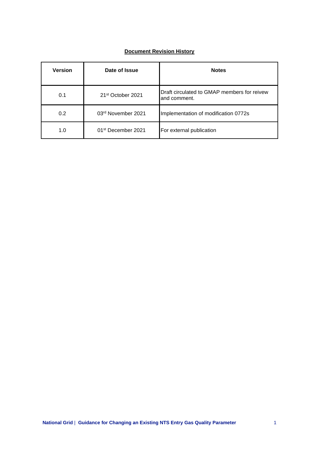## **Document Revision History**

| <b>Version</b> | Date of Issue                  | <b>Notes</b>                                                |
|----------------|--------------------------------|-------------------------------------------------------------|
| 0.1            | 21 <sup>st</sup> October 2021  | Draft circulated to GMAP members for reivew<br>and comment. |
| 0.2            | 03rd November 2021             | Implementation of modification 0772s                        |
| 1.0            | 01 <sup>st</sup> December 2021 | For external publication                                    |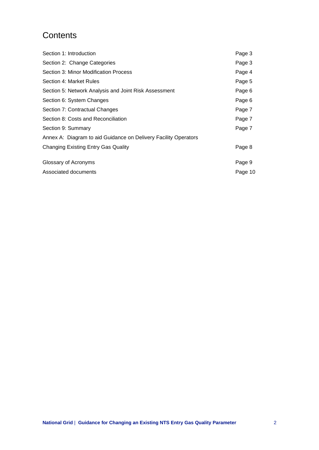## **Contents**

| Section 1: Introduction                                         | Page 3  |
|-----------------------------------------------------------------|---------|
| Section 2: Change Categories                                    | Page 3  |
| Section 3: Minor Modification Process                           | Page 4  |
| Section 4: Market Rules                                         | Page 5  |
| Section 5: Network Analysis and Joint Risk Assessment           | Page 6  |
| Section 6: System Changes                                       | Page 6  |
| Section 7: Contractual Changes                                  | Page 7  |
| Section 8: Costs and Reconciliation                             | Page 7  |
| Section 9: Summary                                              | Page 7  |
| Annex A: Diagram to aid Guidance on Delivery Facility Operators |         |
| Changing Existing Entry Gas Quality                             | Page 8  |
| Glossary of Acronyms                                            | Page 9  |
| Associated documents                                            | Page 10 |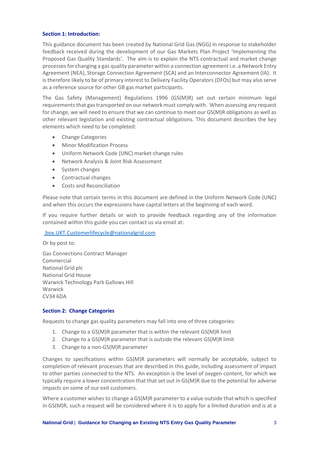#### **Section 1: Introduction:**

This guidance document has been created by National Grid Gas (NGG) in response to stakeholder feedback received during the development of our Gas Markets Plan Project 'Implementing the Proposed Gas Quality Standards'. The aim is to explain the NTS contractual and market change processes for changing a gas quality parameter within a connection agreement i.e. a Network Entry Agreement (NEA), Storage Connection Agreement (SCA) and an Interconnector Agreement (IA). It is therefore likely to be of primary interest to Delivery Facility Operators (DFOs) but may also serve as a reference source for other GB gas market participants.

The Gas Safety (Management) Regulations 1996 (GS(M)R) set out certain minimum legal requirements that gas transported on our network must comply with. When assessing any request for change, we will need to ensure that we can continue to meet our GS(M)R obligations as well as other relevant legislation and existing contractual obligations. This document describes the key elements which need to be completed:

- Change Categories
- Minor Modification Process
- Uniform Network Code (UNC) market change rules
- Network Analysis & Joint Risk Assessment
- System changes
- Contractual changes
- Costs and Reconciliation

Please note that certain terms in this document are defined in the Uniform Network Code (UNC) and when this occurs the expressions have capital letters at the beginning of each word.

If you require further details or wish to provide feedback regarding any of the information contained within this guide you can contact us via email at:

## [.box.UKT.Customerlifecycle@nationalgrid.com](mailto:.box.UKT.Customerlifecycle@nationalgrid.com)

Or by post to: Gas Connections Contract Manager Commercial National Grid plc National Grid House Warwick Technology Park Gallows Hill Warwick CV34 6DA

## **Section 2: Change Categories**

Requests to change gas quality parameters may fall into one of three categories:

- 1. Change to a GS(M)R parameter that is within the relevant GS(M)R limit
- 2. Change to a GS(M)R parameter that is outside the relevant GS(M)R limit
- 3. Change to a non-GS(M)R parameter

Changes to specifications within GS(M)R parameters will normally be acceptable, subject to completion of relevant processes that are described in this guide, including assessment of impact to other parties connected to the NTS. An exception is the level of oxygen content, for which we typically require a lower concentration that that set out in GS(M)R due to the potential for adverse impacts on some of our exit customers.

Where a customer wishes to change a GS(M)R parameter to a value outside that which is specified in GS(M)R, such a request will be considered where it is to apply for a limited duration and is at a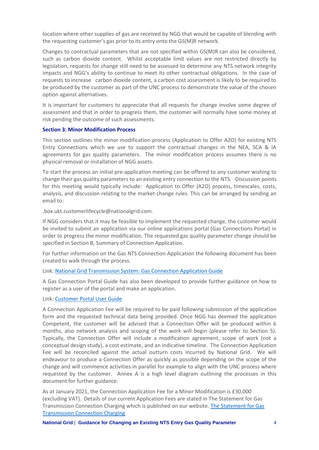location where other supplies of gas are received by NGG that would be capable of blending with the requesting customer's gas prior to its entry onto the GS(M)R network.

Changes to contractual parameters that are not specified within GS(M)R can also be considered, such as carbon dioxide content. Whilst acceptable limit values are not restricted directly by legislation, requests for change still need to be assessed to determine any NTS network integrity impacts and NGG's ability to continue to meet its other contractual obligations. In the case of requests to increase carbon dioxide content, a carbon cost assessment is likely to be required to be produced by the customer as part of the UNC process to demonstrate the value of the chosen option against alternatives.

It is important for customers to appreciate that all requests for change involve some degree of assessment and that in order to progress them, the customer will normally have some money at risk pending the outcome of such assessments.

#### **Section 3: Minor Modification Process**

This section outlines the minor modification process (Application to Offer A2O) for existing NTS Entry Connections which we use to support the contractual changes in the NEA, SCA & IA agreements for gas quality parameters. The minor modification process assumes there is no physical removal or installation of NGG assets.

To start the process an initial pre-application meeting can be offered to any customer wishing to change their gas quality parameters to an existing entry connection to the NTS. Discussion points for this meeting would typically include: Application to Offer (A2O) process, timescales, costs, analysis, and discussion relating to the market change rules. This can be arranged by sending an email to:

.box.ukt.customerlifecycle@nationalgrid.com.

If NGG considers that it may be feasible to implement the requested change, the customer would be invited to submit an application via our online applications portal (Gas Connections Portal) in order to progress the minor modification. The requested gas quality parameter change should be specified in Section B, Summary of Connection Application.

For further information on the Gas NTS Connection Application the following document has been created to walk through the process.

## Link: [National Grid Transmission System: Gas Connection Application Guide](https://www.nationalgrid.com/uk/gas-transmission/document/125446/download)

A Gas Connection Portal Guide has also been developed to provide further guidance on how to register as a user of the portal and make an application.

#### Link: [Customer Portal User Guide](https://gas-connections.nationalgrid.com/CustomerPortal/#/landing)

A Connection Application Fee will be required to be paid following submission of the application form and the requested technical data being provided. Once NGG has deemed the application Competent, the customer will be advised that a Connection Offer will be produced within 6 months, also network analysis and scoping of the work will begin (please refer to Section 5). Typically, the Connection Offer will include a modification agreement, scope of work (not a conceptual design study), a cost estimate, and an indicative timeline. The Connection Application Fee will be reconciled against the actual outturn costs incurred by National Grid. We will endeavour to produce a Connection Offer as quickly as possible depending on the scope of the change and will commence activities in parallel for example to align with the UNC process where requested by the customer. Annex A is a high level diagram outlining the processes in this document for further guidance.

As at January 2021, the Connection Application Fee for a Minor Modification is £30,000 (excluding VAT). Details of our current Application Fees are stated in The Statement for Gas Transmission Connection Charging which is published on our website. [The Statement for Gas](https://www.nationalgrid.com/uk/gas-transmission/document/134581/download)  [Transmission Connection Charging](https://www.nationalgrid.com/uk/gas-transmission/document/134581/download)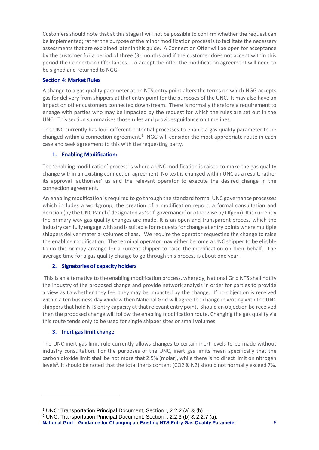Customers should note that at this stage it will not be possible to confirm whether the request can be implemented; rather the purpose of the minor modification process is to facilitate the necessary assessments that are explained later in this guide. A Connection Offer will be open for acceptance by the customer for a period of three (3) months and if the customer does not accept within this period the Connection Offer lapses. To accept the offer the modification agreement will need to be signed and returned to NGG.

## **Section 4: Market Rules**

A change to a gas quality parameter at an NTS entry point alters the terms on which NGG accepts gas for delivery from shippers at that entry point for the purposes of the UNC. It may also have an impact on other customers connected downstream. There is normally therefore a requirement to engage with parties who may be impacted by the request for which the rules are set out in the UNC. This section summarises those rules and provides guidance on timelines.

The UNC currently has four different potential processes to enable a gas quality parameter to be changed within a connection agreement. $1$  NGG will consider the most appropriate route in each case and seek agreement to this with the requesting party.

## **1. Enabling Modification:**

The 'enabling modification' process is where a UNC modification is raised to make the gas quality change within an existing connection agreement. No text is changed within UNC as a result, rather its approval 'authorises' us and the relevant operator to execute the desired change in the connection agreement.

An enabling modification is required to go through the standard formal UNC governance processes which includes a workgroup, the creation of a modification report, a formal consultation and decision (by the UNC Panel if designated as 'self-governance' or otherwise by Ofgem). It is currently the primary way gas quality changes are made. It is an open and transparent process which the industry can fully engage with and is suitable for requests for change at entry points where multiple shippers deliver material volumes of gas. We require the operator requesting the change to raise the enabling modification. The terminal operator may either become a UNC shipper to be eligible to do this or may arrange for a current shipper to raise the modification on their behalf. The average time for a gas quality change to go through this process is about one year.

## **2. Signatories of capacity holders**

This is an alternative to the enabling modification process, whereby, National Grid NTS shall notify the industry of the proposed change and provide network analysis in order for parties to provide a view as to whether they feel they may be impacted by the change. If no objection is received within a ten business day window then National Grid will agree the change in writing with the UNC shippers that hold NTS entry capacity at that relevant entry point. Should an objection be received then the proposed change will follow the enabling modification route. Changing the gas quality via this route tends only to be used for single shipper sites or small volumes.

## **3. Inert gas limit change**

The UNC inert gas limit rule currently allows changes to certain inert levels to be made without industry consultation. For the purposes of the UNC, inert gas limits mean specifically that the carbon dioxide limit shall be not more that 2.5% (molar), while there is no direct limit on nitrogen levels<sup>2</sup>. It should be noted that the total inerts content (CO2 & N2) should not normally exceed 7%.

**National Grid** | **Guidance for Changing an Existing NTS Entry Gas Quality Parameter** 5

<sup>1</sup> UNC: Transportation Principal Document, Section I, 2.2.2 (a) & (b)…

<sup>2</sup> UNC: Transportation Principal Document, Section I, 2.2.3 (b) & 2.2.7 (a).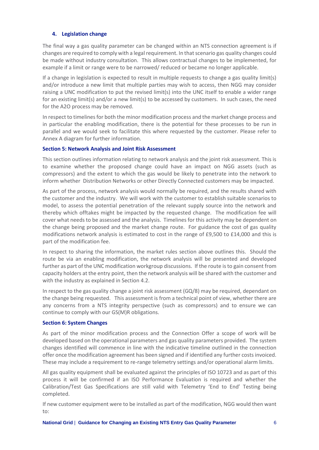## **4. Legislation change**

The final way a gas quality parameter can be changed within an NTS connection agreement is if changes are required to comply with a legal requirement. In that scenario gas quality changes could be made without industry consultation. This allows contractual changes to be implemented, for example if a limit or range were to be narrowed/ reduced or became no longer applicable.

If a change in legislation is expected to result in multiple requests to change a gas quality limit(s) and/or introduce a new limit that multiple parties may wish to access, then NGG may consider raising a UNC modification to put the revised limit(s) into the UNC itself to enable a wider range for an existing limit(s) and/or a new limit(s) to be accessed by customers. In such cases, the need for the A2O process may be removed.

In respect to timelines for both the minor modification process and the market change process and in particular the enabling modification, there is the potential for these processes to be run in parallel and we would seek to facilitate this where requested by the customer. Please refer to Annex A diagram for further information.

## **Section 5: Network Analysis and Joint Risk Assessment**

This section outlines information relating to network analysis and the joint risk assessment. This is to examine whether the proposed change could have an impact on NGG assets (such as compressors) and the extent to which the gas would be likely to penetrate into the network to inform whether Distribution Networks or other Directly Connected customers may be impacted.

As part of the process, network analysis would normally be required, and the results shared with the customer and the industry. We will work with the customer to establish suitable scenarios to model, to assess the potential penetration of the relevant supply source into the network and thereby which offtakes might be impacted by the requested change. The modification fee will cover what needs to be assessed and the analysis. Timelines for this activity may be dependent on the change being proposed and the market change route. For guidance the cost of gas quality modifications network analysis is estimated to cost in the range of £9,500 to £14,000 and this is part of the modification fee.

In respect to sharing the information, the market rules section above outlines this. Should the route be via an enabling modification, the network analysis will be presented and developed further as part of the UNC modification workgroup discussions. If the route is to gain consent from capacity holders at the entry point, then the network analysis will be shared with the customer and with the industry as explained in Section 4.2.

In respect to the gas quality change a joint risk assessment (GQ/8) may be required, dependant on the change being requested. This assessment is from a technical point of view, whether there are any concerns from a NTS integrity perspective (such as compressors) and to ensure we can continue to comply with our GS(M)R obligations.

## **Section 6: System Changes**

As part of the minor modification process and the Connection Offer a scope of work will be developed based on the operational parameters and gas quality parameters provided. The system changes identified will commence in line with the indicative timeline outlined in the connection offer once the modification agreement has been signed and if identified any further costs invoiced. These may include a requirement to re-range telemetry settings and/or operational alarm limits.

All gas quality equipment shall be evaluated against the principles of ISO 10723 and as part of this process it will be confirmed if an ISO Performance Evaluation is required and whether the Calibration/Test Gas Specifications are still valid with Telemetry 'End to End' Testing being completed.

If new customer equipment were to be installed as part of the modification, NGG would then want to: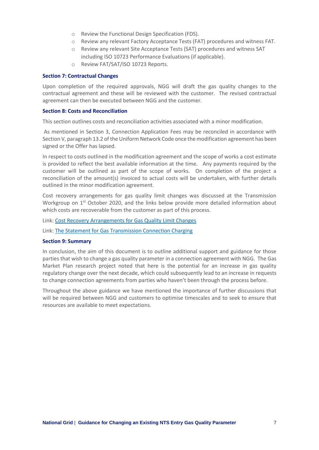- o Review the Functional Design Specification (FDS).
- o Review any relevant Factory Acceptance Tests (FAT) procedures and witness FAT.
- o Review any relevant Site Acceptance Tests (SAT) procedures and witness SAT including ISO 10723 Performance Evaluations (if applicable).
- o Review FAT/SAT/ISO 10723 Reports.

#### **Section 7: Contractual Changes**

Upon completion of the required approvals, NGG will draft the gas quality changes to the contractual agreement and these will be reviewed with the customer. The revised contractual agreement can then be executed between NGG and the customer.

#### **Section 8: Costs and Reconciliation**

This section outlines costs and reconciliation activities associated with a minor modification.

As mentioned in Section 3, Connection Application Fees may be reconciled in accordance with Section V, paragraph 13.2 of the Uniform Network Code once the modification agreement has been signed or the Offer has lapsed.

In respect to costs outlined in the modification agreement and the scope of works a cost estimate is provided to reflect the best available information at the time. Any payments required by the customer will be outlined as part of the scope of works. On completion of the project a reconciliation of the amount(s) invoiced to actual costs will be undertaken, with further details outlined in the minor modification agreement.

Cost recovery arrangements for gas quality limit changes was discussed at the Transmission Workgroup on 1<sup>st</sup> October 2020, and the links below provide more detailed information about which costs are recoverable from the customer as part of this process.

Link: [Cost Recovery Arrangements for Gas Quality Limit Changes](https://www.gasgovernance.co.uk/sites/default/files/ggf/2020-09/4.0%20Funding%20of%20Gas%20Quality%20Limit%20Changes%20-%20Tx%20WG%20-%201.10.20.pdf)

Link: [The Statement for Gas Transmission Connection Charging](https://www.nationalgrid.com/uk/gas-transmission/document/134581/download)

#### **Section 9: Summary**

In conclusion, the aim of this document is to outline additional support and guidance for those parties that wish to change a gas quality parameter in a connection agreement with NGG. The Gas Market Plan research project noted that here is the potential for an increase in gas quality regulatory change over the next decade, which could subsequently lead to an increase in requests to change connection agreements from parties who haven't been through the process before.

Throughout the above guidance we have mentioned the importance of further discussions that will be required between NGG and customers to optimise timescales and to seek to ensure that resources are available to meet expectations.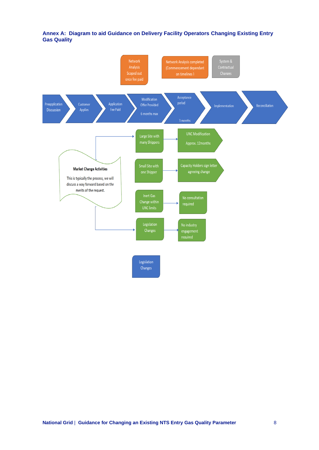## **Annex A: Diagram to aid Guidance on Delivery Facility Operators Changing Existing Entry Gas Quality**

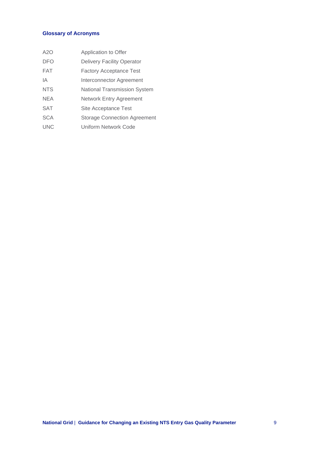## **Glossary of Acronyms**

| A2O        | Application to Offer                |
|------------|-------------------------------------|
| <b>DFO</b> | <b>Delivery Facility Operator</b>   |
| <b>FAT</b> | <b>Factory Acceptance Test</b>      |
| IΑ         | Interconnector Agreement            |
| <b>NTS</b> | National Transmission System        |
| <b>NEA</b> | Network Entry Agreement             |
| <b>SAT</b> | Site Acceptance Test                |
| <b>SCA</b> | <b>Storage Connection Agreement</b> |
| <b>UNC</b> | Uniform Network Code                |
|            |                                     |